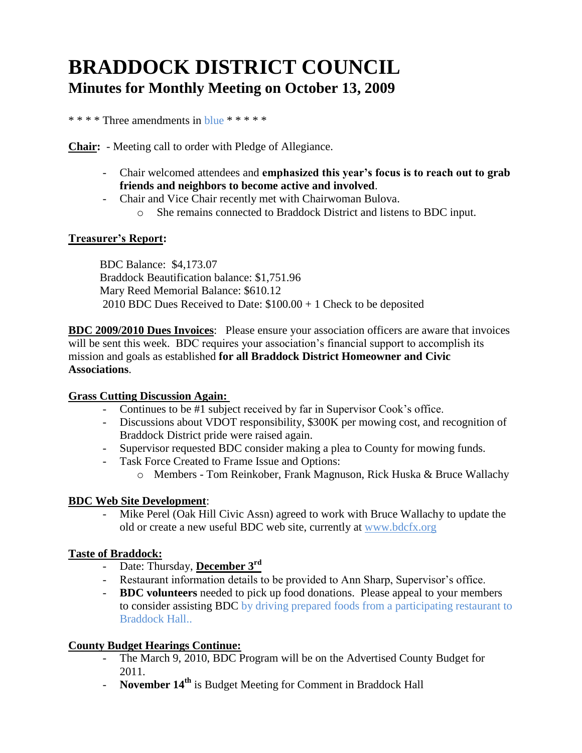# **BRADDOCK DISTRICT COUNCIL Minutes for Monthly Meeting on October 13, 2009**

\* \* \* \* Three amendments in blue \* \* \* \* \*

**Chair:** - Meeting call to order with Pledge of Allegiance.

- Chair welcomed attendees and **emphasized this year's focus is to reach out to grab friends and neighbors to become active and involved**.
- Chair and Vice Chair recently met with Chairwoman Bulova.
	- o She remains connected to Braddock District and listens to BDC input.

#### **Treasurer's Report:**

 BDC Balance: \$4,173.07 Braddock Beautification balance: \$1,751.96 Mary Reed Memorial Balance: \$610.12 2010 BDC Dues Received to Date: \$100.00 + 1 Check to be deposited

**BDC 2009/2010 Dues Invoices**: Please ensure your association officers are aware that invoices will be sent this week. BDC requires your association's financial support to accomplish its mission and goals as established **for all Braddock District Homeowner and Civic Associations**.

#### **Grass Cutting Discussion Again:**

- Continues to be #1 subject received by far in Supervisor Cook's office.
- Discussions about VDOT responsibility, \$300K per mowing cost, and recognition of Braddock District pride were raised again.
- Supervisor requested BDC consider making a plea to County for mowing funds.
- Task Force Created to Frame Issue and Options:
	- o Members Tom Reinkober, Frank Magnuson, Rick Huska & Bruce Wallachy

## **BDC Web Site Development**:

Mike Perel (Oak Hill Civic Assn) agreed to work with Bruce Wallachy to update the old or create a new useful BDC web site, currently at [www.bdcfx.org](http://www.bdcfx.org/)

## **Taste of Braddock:**

- Date: Thursday, **December 3rd**
- Restaurant information details to be provided to Ann Sharp, Supervisor's office.
- **BDC volunteers** needed to pick up food donations. Please appeal to your members to consider assisting BDC by driving prepared foods from a participating restaurant to Braddock Hall..

## **County Budget Hearings Continue:**

- The March 9, 2010, BDC Program will be on the Advertised County Budget for 2011.
- **November 14th** is Budget Meeting for Comment in Braddock Hall